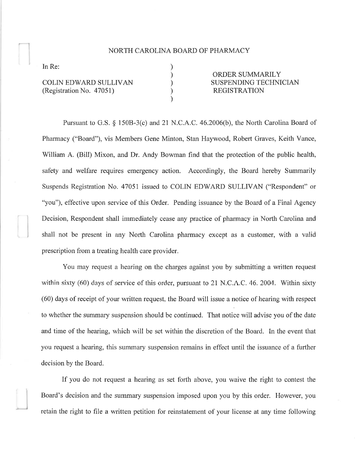## NORTH CAROLINA BOARD OF PHARMACY

) ) ) ) )

In Re:

COLIN EDWARD SULLIVAN (Registration No. 47051)

ORDER SUMMARILY SUSPENDING TECHNICIAN REGISTRATION

Pursuant to G.S. \$ 150B-3(c) and 2I N.C.A.C. 46.2006(b), the North Carolina Board of Pharmacy ("Board"), vis Members Gene Minton, Stan Haywood, Robert Graves, Keith Vance, William A. (Bill) Mixon, and Dr. Andy Bowman find that the protection of the public health, safety and welfare requires emergency action. Accordingly, the Board hereby Summarily Suspends Registration No. 4705I issued to COLIN EDWARD SULLIVAN ("Respondent" or "you"), effective upon service of this Order. Pending issuance by the Board of a Final Agency Decision, Respondent shall immediately cease any practice of pharmacy in North Carolina and shall not be present in any North Carolina pharmacy except as a customer, with a valid prescription from a treating health care provider.

You may request a hearing on the charges against you by submitting a written request within sixty  $(60)$  days of service of this order, pursuant to 21 N.C.A.C. 46. 2004. Within sixty (60) days of receipt of your written request, the Board will issue a notice of hearing with respect to whether the summary suspension should be continued. That notice will advise you of the date and time of the hearing, which will be set within the discretion of the Board. In the event that you request a hearing, this summary suspension remains in effect until the issuance of a further decision by the Board.

If you do not request a hearing as set forth above, you waive the right to contest the Board's decision and the summary suspension imposed upon you by this order. Flowever, you retain the right to file a written petition for reinstatement of your license at any time following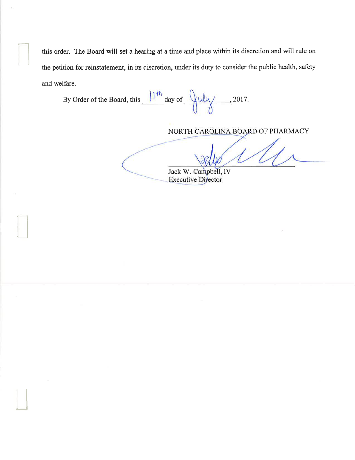this order. The Board will set a hearing at a time and place within its discretion and will rule on the petition for reinstatement, in its discretion, under its duty to consider the public health, safety and welfare.

By Order of the Board, this  $\frac{11^{th}}{4}$  day of  $\frac{9 \text{thy}}{4}$ , 2017.

rl

'J

NORTH CAROLINA BOARD OF PHARMACY

Jack W. Campbell, IV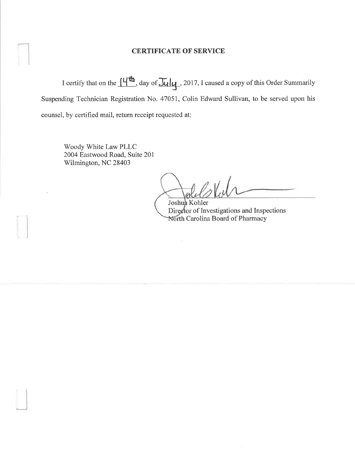## **CERTIFICATE OF SERVICE**

I certify that on the  $\frac{\mu \mathbf{H}}{d}$ , day of  $\frac{\mu \mathbf{H}}{d}$ , 2017, I caused a copy of this Order Summarily Suspending Technician Registration No. 47051, Colin Edward Sullivan, to be served upon his counsel, by certified mail, return receipt requested at:

Woody White Law PLLC 2004 Eastwood Road, Suite 201 Wilmington, NC 28403

ti

LJ

Joshua Kohler Director of Investigations and Inspections North Carolina Board of Pharmacy